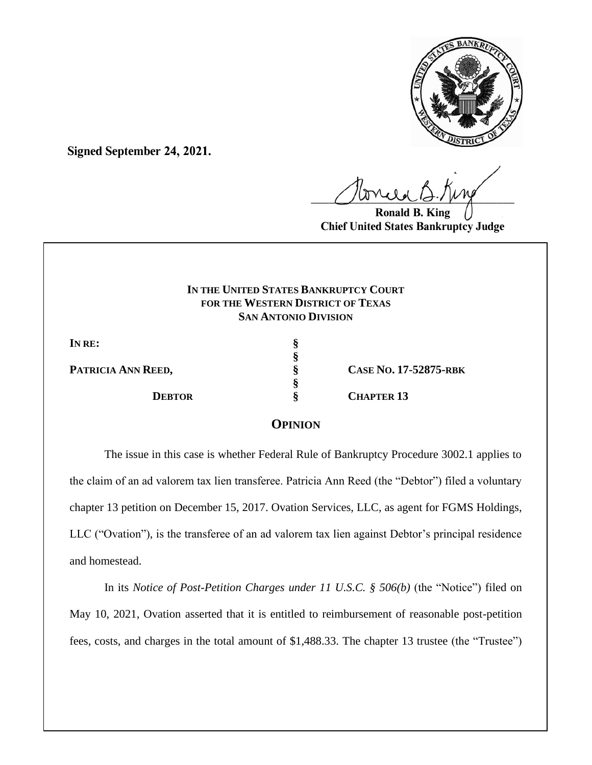

**Signed September 24, 2021.**

 $U^{WVWW}$ 

**Ronald B. King Chief United States Bankruptcy Judge**

## **IN THE UNITED STATES BANKRUPTCY COURT FOR THE WESTERN DISTRICT OF TEXAS SAN ANTONIO DIVISION**

**§**

**§**

**IN RE: §**

**PATRICIA ANN REED, § CASE NO. 17-52875-RBK DEBTOR § CHAPTER 13**

# **OPINION**

The issue in this case is whether Federal Rule of Bankruptcy Procedure 3002.1 applies to the claim of an ad valorem tax lien transferee. Patricia Ann Reed (the "Debtor") filed a voluntary chapter 13 petition on December 15, 2017. Ovation Services, LLC, as agent for FGMS Holdings, LLC ("Ovation"), is the transferee of an ad valorem tax lien against Debtor's principal residence and homestead.

In its *Notice of Post-Petition Charges under 11 U.S.C. § 506(b)* (the "Notice") filed on May 10, 2021, Ovation asserted that it is entitled to reimbursement of reasonable post-petition fees, costs, and charges in the total amount of \$1,488.33. The chapter 13 trustee (the "Trustee")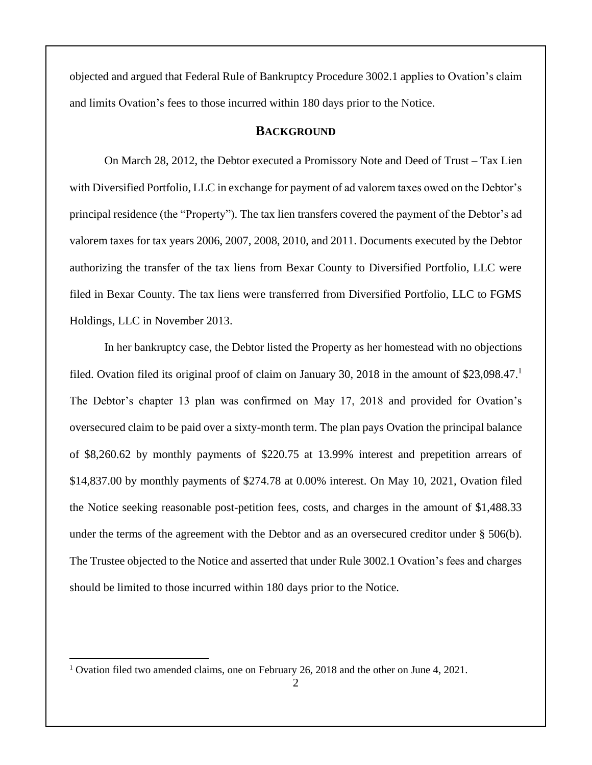objected and argued that Federal Rule of Bankruptcy Procedure 3002.1 applies to Ovation's claim and limits Ovation's fees to those incurred within 180 days prior to the Notice.

## **BACKGROUND**

On March 28, 2012, the Debtor executed a Promissory Note and Deed of Trust – Tax Lien with Diversified Portfolio, LLC in exchange for payment of ad valorem taxes owed on the Debtor's principal residence (the "Property"). The tax lien transfers covered the payment of the Debtor's ad valorem taxes for tax years 2006, 2007, 2008, 2010, and 2011. Documents executed by the Debtor authorizing the transfer of the tax liens from Bexar County to Diversified Portfolio, LLC were filed in Bexar County. The tax liens were transferred from Diversified Portfolio, LLC to FGMS Holdings, LLC in November 2013.

In her bankruptcy case, the Debtor listed the Property as her homestead with no objections filed. Ovation filed its original proof of claim on January 30, 2018 in the amount of \$23,098.47. The Debtor's chapter 13 plan was confirmed on May 17, 2018 and provided for Ovation's oversecured claim to be paid over a sixty-month term. The plan pays Ovation the principal balance of \$8,260.62 by monthly payments of \$220.75 at 13.99% interest and prepetition arrears of \$14,837.00 by monthly payments of \$274.78 at 0.00% interest. On May 10, 2021, Ovation filed the Notice seeking reasonable post-petition fees, costs, and charges in the amount of \$1,488.33 under the terms of the agreement with the Debtor and as an oversecured creditor under § 506(b). The Trustee objected to the Notice and asserted that under Rule 3002.1 Ovation's fees and charges should be limited to those incurred within 180 days prior to the Notice.

<sup>1</sup> Ovation filed two amended claims, one on February 26, 2018 and the other on June 4, 2021.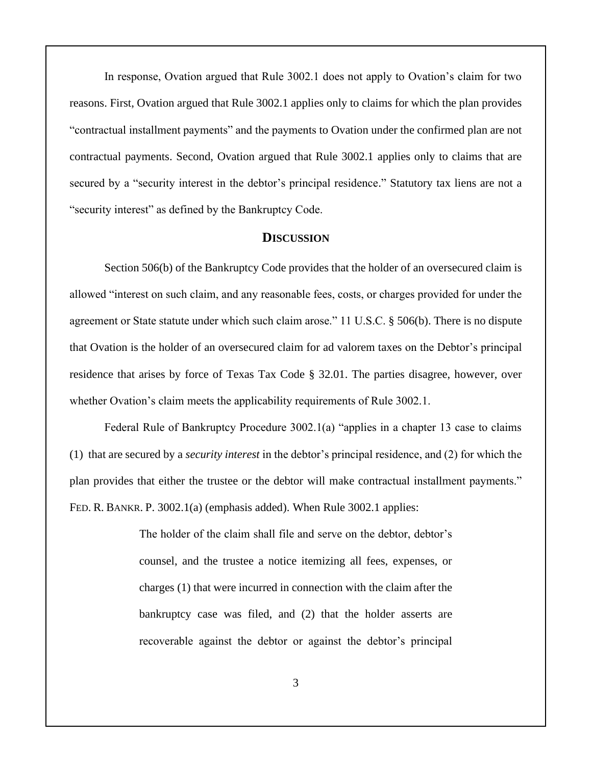In response, Ovation argued that Rule 3002.1 does not apply to Ovation's claim for two reasons. First, Ovation argued that Rule 3002.1 applies only to claims for which the plan provides "contractual installment payments" and the payments to Ovation under the confirmed plan are not contractual payments. Second, Ovation argued that Rule 3002.1 applies only to claims that are secured by a "security interest in the debtor's principal residence." Statutory tax liens are not a "security interest" as defined by the Bankruptcy Code.

#### **DISCUSSION**

Section 506(b) of the Bankruptcy Code provides that the holder of an oversecured claim is allowed "interest on such claim, and any reasonable fees, costs, or charges provided for under the agreement or State statute under which such claim arose." 11 U.S.C. § 506(b). There is no dispute that Ovation is the holder of an oversecured claim for ad valorem taxes on the Debtor's principal residence that arises by force of Texas Tax Code § 32.01. The parties disagree, however, over whether Ovation's claim meets the applicability requirements of Rule 3002.1.

Federal Rule of Bankruptcy Procedure 3002.1(a) "applies in a chapter 13 case to claims (1) that are secured by a *security interest* in the debtor's principal residence, and (2) for which the plan provides that either the trustee or the debtor will make contractual installment payments." FED. R. BANKR. P. 3002.1(a) (emphasis added). When Rule 3002.1 applies:

> The holder of the claim shall file and serve on the debtor, debtor's counsel, and the trustee a notice itemizing all fees, expenses, or charges (1) that were incurred in connection with the claim after the bankruptcy case was filed, and (2) that the holder asserts are recoverable against the debtor or against the debtor's principal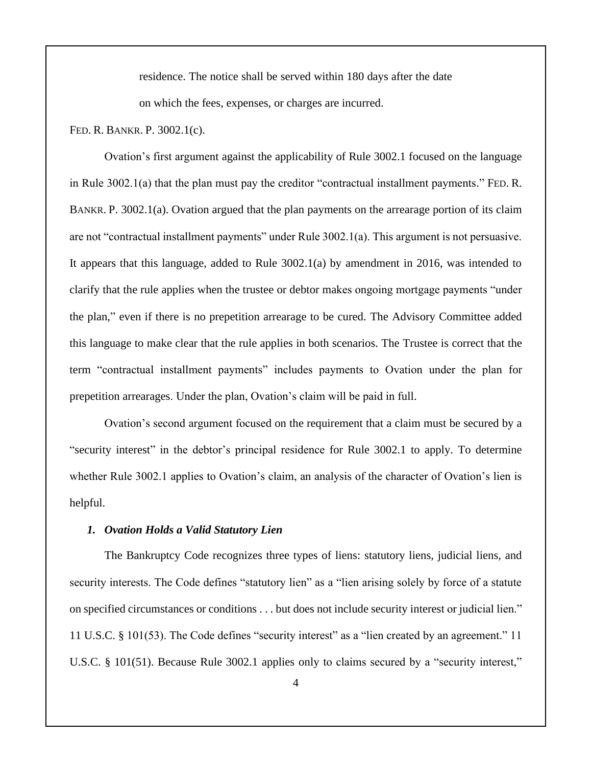residence. The notice shall be served within 180 days after the date on which the fees, expenses, or charges are incurred.

FED. R. BANKR. P. 3002.1(c).

Ovation's first argument against the applicability of Rule 3002.1 focused on the language in Rule 3002.1(a) that the plan must pay the creditor "contractual installment payments." FED. R. BANKR. P. 3002.1(a). Ovation argued that the plan payments on the arrearage portion of its claim are not "contractual installment payments" under Rule 3002.1(a). This argument is not persuasive. It appears that this language, added to Rule 3002.1(a) by amendment in 2016, was intended to clarify that the rule applies when the trustee or debtor makes ongoing mortgage payments "under the plan," even if there is no prepetition arrearage to be cured. The Advisory Committee added this language to make clear that the rule applies in both scenarios. The Trustee is correct that the term "contractual installment payments" includes payments to Ovation under the plan for prepetition arrearages. Under the plan, Ovation's claim will be paid in full.

Ovation's second argument focused on the requirement that a claim must be secured by a "security interest" in the debtor's principal residence for Rule 3002.1 to apply. To determine whether Rule 3002.1 applies to Ovation's claim, an analysis of the character of Ovation's lien is helpful.

#### *1. Ovation Holds a Valid Statutory Lien*

The Bankruptcy Code recognizes three types of liens: statutory liens, judicial liens, and security interests. The Code defines "statutory lien" as a "lien arising solely by force of a statute on specified circumstances or conditions . . . but does not include security interest or judicial lien." 11 U.S.C. § 101(53). The Code defines "security interest" as a "lien created by an agreement." 11 U.S.C. § 101(51). Because Rule 3002.1 applies only to claims secured by a "security interest,"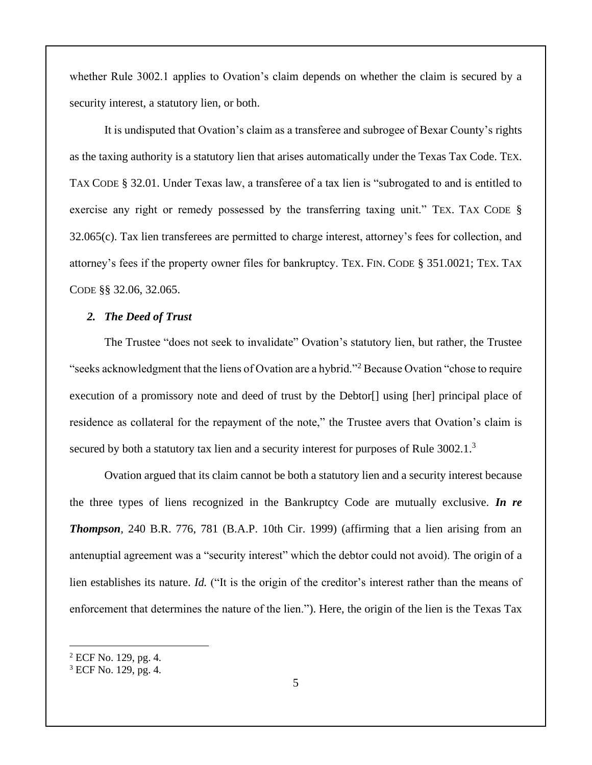whether Rule 3002.1 applies to Ovation's claim depends on whether the claim is secured by a security interest, a statutory lien, or both.

It is undisputed that Ovation's claim as a transferee and subrogee of Bexar County's rights as the taxing authority is a statutory lien that arises automatically under the Texas Tax Code. TEX. TAX CODE § 32.01. Under Texas law, a transferee of a tax lien is "subrogated to and is entitled to exercise any right or remedy possessed by the transferring taxing unit." TEX. TAX CODE § 32.065(c). Tax lien transferees are permitted to charge interest, attorney's fees for collection, and attorney's fees if the property owner files for bankruptcy. TEX. FIN. CODE § 351.0021; TEX. TAX CODE §§ 32.06, 32.065.

### *2. The Deed of Trust*

The Trustee "does not seek to invalidate" Ovation's statutory lien, but rather, the Trustee "seeks acknowledgment that the liens of Ovation are a hybrid."<sup>2</sup> Because Ovation "chose to require execution of a promissory note and deed of trust by the Debtor<sup>[]</sup> using [her] principal place of residence as collateral for the repayment of the note," the Trustee avers that Ovation's claim is secured by both a statutory tax lien and a security interest for purposes of Rule 3002.1.<sup>3</sup>

Ovation argued that its claim cannot be both a statutory lien and a security interest because the three types of liens recognized in the Bankruptcy Code are mutually exclusive. *In re Thompson*, 240 B.R. 776, 781 (B.A.P. 10th Cir. 1999) (affirming that a lien arising from an antenuptial agreement was a "security interest" which the debtor could not avoid). The origin of a lien establishes its nature. *Id.* ("It is the origin of the creditor's interest rather than the means of enforcement that determines the nature of the lien."). Here, the origin of the lien is the Texas Tax

<sup>2</sup> ECF No. 129, pg. 4.

<sup>3</sup> ECF No. 129, pg. 4.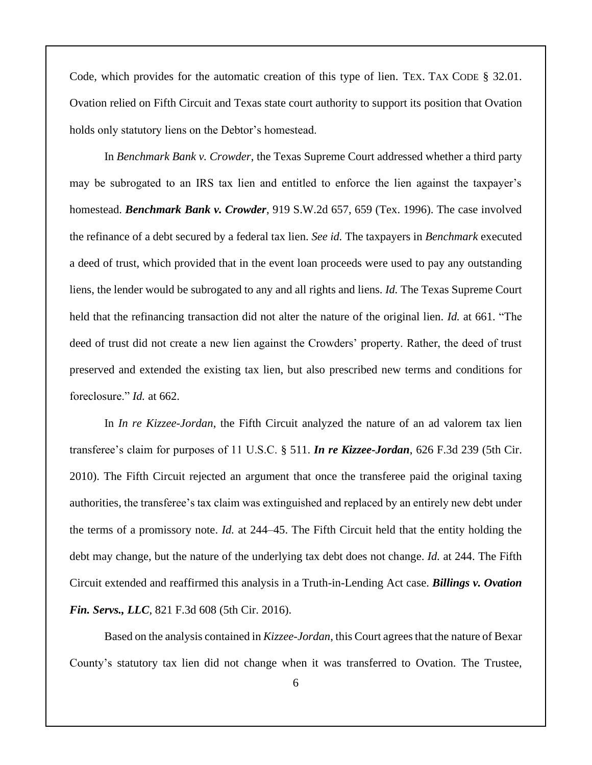Code, which provides for the automatic creation of this type of lien. TEX. TAX CODE § 32.01. Ovation relied on Fifth Circuit and Texas state court authority to support its position that Ovation holds only statutory liens on the Debtor's homestead.

In *Benchmark Bank v. Crowder*, the Texas Supreme Court addressed whether a third party may be subrogated to an IRS tax lien and entitled to enforce the lien against the taxpayer's homestead. *Benchmark Bank v. Crowder*, 919 S.W.2d 657, 659 (Tex. 1996). The case involved the refinance of a debt secured by a federal tax lien. *See id.* The taxpayers in *Benchmark* executed a deed of trust, which provided that in the event loan proceeds were used to pay any outstanding liens, the lender would be subrogated to any and all rights and liens. *Id.* The Texas Supreme Court held that the refinancing transaction did not alter the nature of the original lien. *Id.* at 661. "The deed of trust did not create a new lien against the Crowders' property. Rather, the deed of trust preserved and extended the existing tax lien, but also prescribed new terms and conditions for foreclosure." *Id.* at 662.

In *In re Kizzee-Jordan*, the Fifth Circuit analyzed the nature of an ad valorem tax lien transferee's claim for purposes of 11 U.S.C. § 511. *In re Kizzee-Jordan*, 626 F.3d 239 (5th Cir. 2010). The Fifth Circuit rejected an argument that once the transferee paid the original taxing authorities, the transferee's tax claim was extinguished and replaced by an entirely new debt under the terms of a promissory note. *Id.* at 244–45. The Fifth Circuit held that the entity holding the debt may change, but the nature of the underlying tax debt does not change. *Id.* at 244. The Fifth Circuit extended and reaffirmed this analysis in a Truth-in-Lending Act case. *Billings v. Ovation Fin. Servs., LLC*, 821 F.3d 608 (5th Cir. 2016).

Based on the analysis contained in *Kizzee-Jordan*, this Court agrees that the nature of Bexar County's statutory tax lien did not change when it was transferred to Ovation. The Trustee,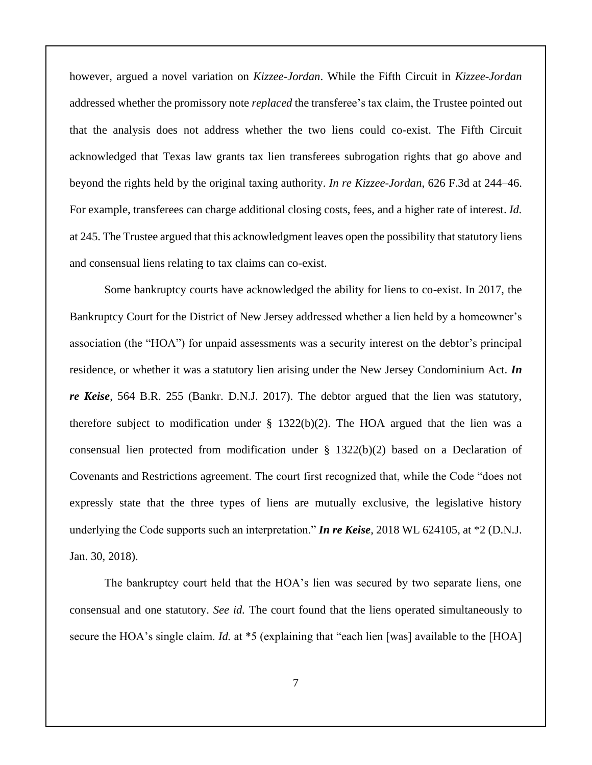however, argued a novel variation on *Kizzee-Jordan*. While the Fifth Circuit in *Kizzee-Jordan* addressed whether the promissory note *replaced* the transferee's tax claim, the Trustee pointed out that the analysis does not address whether the two liens could co-exist. The Fifth Circuit acknowledged that Texas law grants tax lien transferees subrogation rights that go above and beyond the rights held by the original taxing authority. *In re Kizzee-Jordan*, 626 F.3d at 244–46. For example, transferees can charge additional closing costs, fees, and a higher rate of interest. *Id.*  at 245. The Trustee argued that this acknowledgment leaves open the possibility that statutory liens and consensual liens relating to tax claims can co-exist.

Some bankruptcy courts have acknowledged the ability for liens to co-exist. In 2017, the Bankruptcy Court for the District of New Jersey addressed whether a lien held by a homeowner's association (the "HOA") for unpaid assessments was a security interest on the debtor's principal residence, or whether it was a statutory lien arising under the New Jersey Condominium Act. *In re Keise*, 564 B.R. 255 (Bankr. D.N.J. 2017). The debtor argued that the lien was statutory, therefore subject to modification under  $\S$  1322(b)(2). The HOA argued that the lien was a consensual lien protected from modification under  $\S$  1322(b)(2) based on a Declaration of Covenants and Restrictions agreement. The court first recognized that, while the Code "does not expressly state that the three types of liens are mutually exclusive, the legislative history underlying the Code supports such an interpretation." *In re Keise*, 2018 WL 624105, at \*2 (D.N.J. Jan. 30, 2018).

The bankruptcy court held that the HOA's lien was secured by two separate liens, one consensual and one statutory. *See id.* The court found that the liens operated simultaneously to secure the HOA's single claim. *Id.* at \*5 (explaining that "each lien [was] available to the [HOA]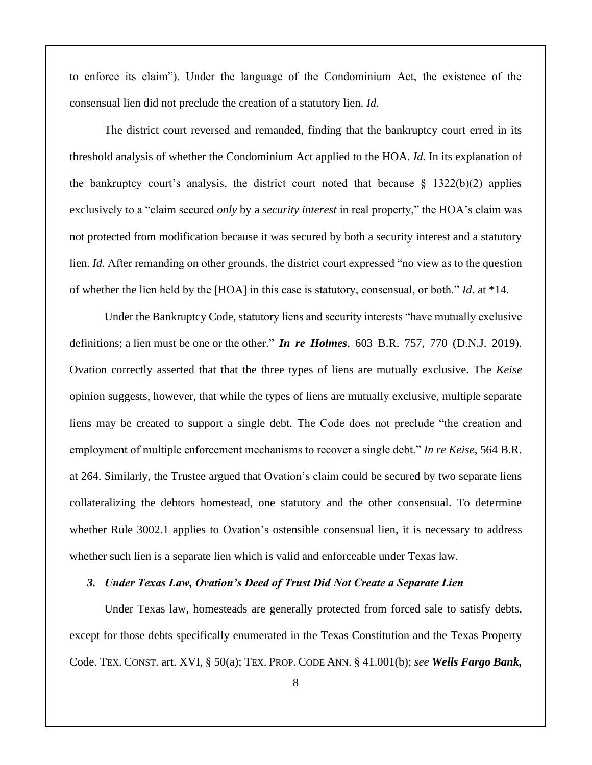to enforce its claim"). Under the language of the Condominium Act, the existence of the consensual lien did not preclude the creation of a statutory lien. *Id*.

The district court reversed and remanded, finding that the bankruptcy court erred in its threshold analysis of whether the Condominium Act applied to the HOA. *Id.* In its explanation of the bankruptcy court's analysis, the district court noted that because  $\S$  1322(b)(2) applies exclusively to a "claim secured *only* by a *security interest* in real property," the HOA's claim was not protected from modification because it was secured by both a security interest and a statutory lien. *Id.* After remanding on other grounds, the district court expressed "no view as to the question of whether the lien held by the [HOA] in this case is statutory, consensual, or both." *Id.* at \*14.

Under the Bankruptcy Code, statutory liens and security interests "have mutually exclusive definitions; a lien must be one or the other." *In re Holmes*, 603 B.R. 757, 770 (D.N.J. 2019). Ovation correctly asserted that that the three types of liens are mutually exclusive. The *Keise* opinion suggests, however, that while the types of liens are mutually exclusive, multiple separate liens may be created to support a single debt. The Code does not preclude "the creation and employment of multiple enforcement mechanisms to recover a single debt." *In re Keise*, 564 B.R. at 264. Similarly, the Trustee argued that Ovation's claim could be secured by two separate liens collateralizing the debtors homestead, one statutory and the other consensual. To determine whether Rule 3002.1 applies to Ovation's ostensible consensual lien, it is necessary to address whether such lien is a separate lien which is valid and enforceable under Texas law.

#### *3. Under Texas Law, Ovation's Deed of Trust Did Not Create a Separate Lien*

Under Texas law, homesteads are generally protected from forced sale to satisfy debts, except for those debts specifically enumerated in the Texas Constitution and the Texas Property Code. TEX. CONST. art. XVI, § 50(a); TEX. PROP. CODE ANN. § 41.001(b); *see Wells Fargo Bank,*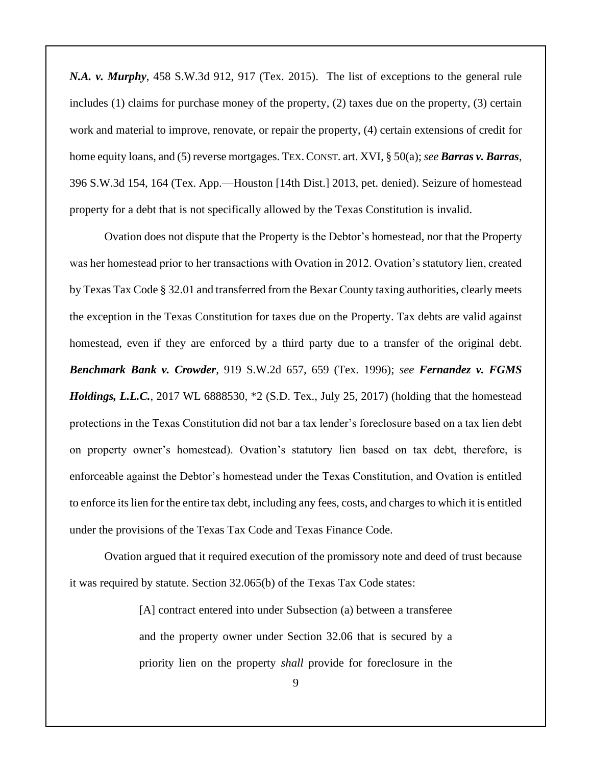*N.A. v. Murphy*, 458 S.W.3d 912, 917 (Tex. 2015). The list of exceptions to the general rule includes (1) claims for purchase money of the property, (2) taxes due on the property, (3) certain work and material to improve, renovate, or repair the property, (4) certain extensions of credit for home equity loans, and (5) reverse mortgages. TEX.CONST. art. XVI, § 50(a); *see Barras v. Barras*, 396 S.W.3d 154, 164 (Tex. App.—Houston [14th Dist.] 2013, pet. denied). Seizure of homestead property for a debt that is not specifically allowed by the Texas Constitution is invalid.

Ovation does not dispute that the Property is the Debtor's homestead, nor that the Property was her homestead prior to her transactions with Ovation in 2012. Ovation's statutory lien, created by Texas Tax Code § 32.01 and transferred from the Bexar County taxing authorities, clearly meets the exception in the Texas Constitution for taxes due on the Property. Tax debts are valid against homestead, even if they are enforced by a third party due to a transfer of the original debt. *Benchmark Bank v. Crowder*, 919 S.W.2d 657, 659 (Tex. 1996); *see Fernandez v. FGMS Holdings, L.L.C.*, 2017 WL 6888530, \*2 (S.D. Tex., July 25, 2017) (holding that the homestead protections in the Texas Constitution did not bar a tax lender's foreclosure based on a tax lien debt on property owner's homestead). Ovation's statutory lien based on tax debt, therefore, is enforceable against the Debtor's homestead under the Texas Constitution, and Ovation is entitled to enforce its lien for the entire tax debt, including any fees, costs, and charges to which it is entitled under the provisions of the Texas Tax Code and Texas Finance Code.

Ovation argued that it required execution of the promissory note and deed of trust because it was required by statute. Section 32.065(b) of the Texas Tax Code states:

> [A] contract entered into under Subsection (a) between a transferee and the property owner under Section 32.06 that is secured by a priority lien on the property *shall* provide for foreclosure in the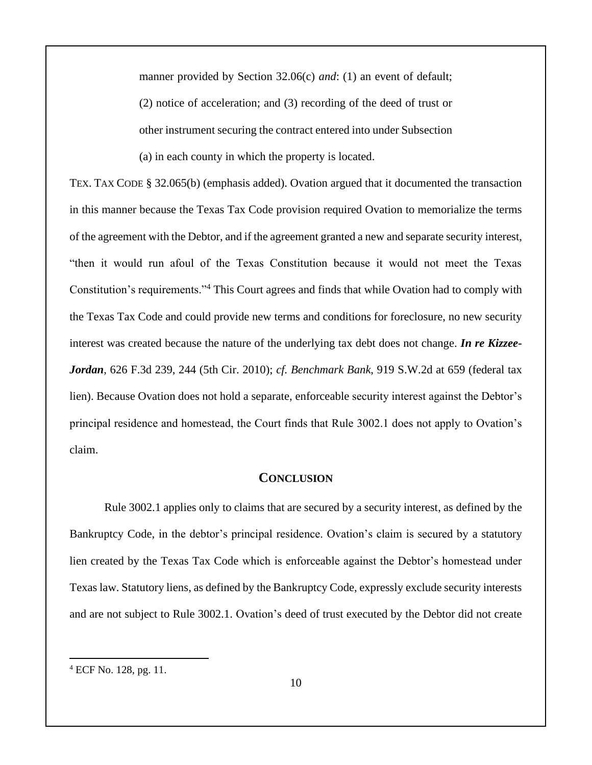manner provided by Section 32.06(c) *and*: (1) an event of default; (2) notice of acceleration; and (3) recording of the deed of trust or other instrument securing the contract entered into under Subsection (a) in each county in which the property is located.

TEX. TAX CODE § 32.065(b) (emphasis added). Ovation argued that it documented the transaction in this manner because the Texas Tax Code provision required Ovation to memorialize the terms of the agreement with the Debtor, and if the agreement granted a new and separate security interest, "then it would run afoul of the Texas Constitution because it would not meet the Texas Constitution's requirements."<sup>4</sup> This Court agrees and finds that while Ovation had to comply with the Texas Tax Code and could provide new terms and conditions for foreclosure, no new security interest was created because the nature of the underlying tax debt does not change. *In re Kizzee-Jordan*, 626 F.3d 239, 244 (5th Cir. 2010); *cf. Benchmark Bank*, 919 S.W.2d at 659 (federal tax lien). Because Ovation does not hold a separate, enforceable security interest against the Debtor's principal residence and homestead, the Court finds that Rule 3002.1 does not apply to Ovation's claim.

## **CONCLUSION**

Rule 3002.1 applies only to claims that are secured by a security interest, as defined by the Bankruptcy Code, in the debtor's principal residence. Ovation's claim is secured by a statutory lien created by the Texas Tax Code which is enforceable against the Debtor's homestead under Texas law. Statutory liens, as defined by the Bankruptcy Code, expressly exclude security interests and are not subject to Rule 3002.1. Ovation's deed of trust executed by the Debtor did not create

<sup>4</sup> ECF No. 128, pg. 11.